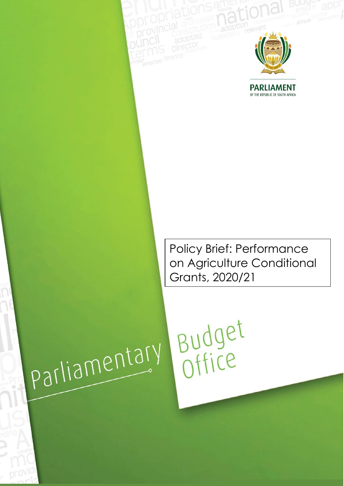

**PARLIAMENT** OF THE REPUBLIC OF SOUTH AFRICA

Policy Brief: Performance on Agriculture Conditional Grants, 2020/21

# parliamentary

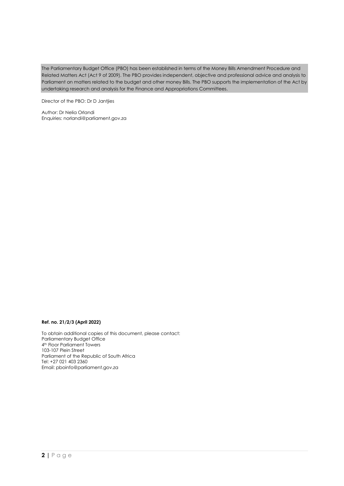The Parliamentary Budget Office (PBO) has been established in terms of the Money Bills Amendment Procedure and Related Matters Act (Act 9 of 2009). The PBO provides independent, objective and professional advice and analysis to Parliament on matters related to the budget and other money Bills. The PBO supports the implementation of the Act by undertaking research and analysis for the Finance and Appropriations Committees.

Director of the PBO: Dr D Jantjies

Author: Dr Nelia Orlandi Enquiries: [norlandi@parliament.gov.za](mailto:norlandi@parliament.gov.za)

### **Ref. no. 21/2/3 (April 2022)**

To obtain additional copies of this document, please contact: Parliamentary Budget Office 4<sup>th</sup> Floor Parliament Towers 103-107 Plein Street Parliament of the Republic of South Africa Tel: +27 021 403 2360 Email: [pboinfo@parliament.gov.za](mailto:pboinfo@parliament.gov.za)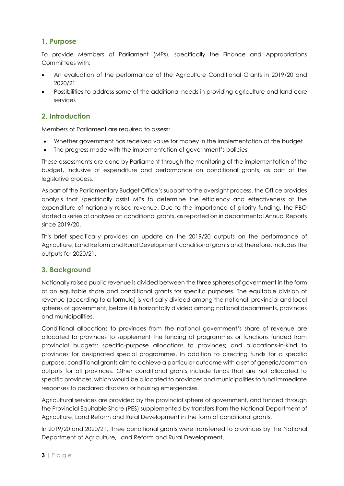# **1. Purpose**

To provide Members of Parliament (MPs), specifically the Finance and Appropriations Committees with:

- An evaluation of the performance of the Agriculture Conditional Grants in 2019/20 and 2020/21
- Possibilities to address some of the additional needs in providing agriculture and land care services

# **2. Introduction**

Members of Parliament are required to assess:

- Whether government has received value for money in the implementation of the budget
- The progress made with the implementation of government's policies

These assessments are done by Parliament through the monitoring of the implementation of the budget, inclusive of expenditure and performance on conditional grants, as part of the legislative process.

As part of the Parliamentary Budget Office's support to the oversight process, the Office provides analysis that specifically assist MPs to determine the efficiency and effectiveness of the expenditure of nationally raised revenue. Due to the importance of priority funding, the PBO started a series of analyses on conditional grants, as reported on in departmental Annual Reports since 2019/20.

This brief specifically provides an update on the 2019/20 outputs on the performance of Agriculture, Land Reform and Rural Development conditional grants and; therefore, includes the outputs for 2020/21.

# **3. Background**

Nationally raised public revenue is divided between the three spheres of government in the form of an equitable share and conditional grants for specific purposes. The equitable division of revenue (according to a formula) is vertically divided among the national, provincial and local spheres of government, before it is horizontally divided among national departments, provinces and municipalities.

Conditional allocations to provinces from the national government's share of revenue are allocated to provinces to supplement the funding of programmes or functions funded from provincial budgets; specific-purpose allocations to provinces; and allocations-in-kind to provinces for designated special programmes. In addition to directing funds for a specific purpose, conditional grants aim to achieve a particular outcome with a set of generic/common outputs for all provinces. Other conditional grants include funds that are not allocated to specific provinces, which would be allocated to provinces and municipalities to fund immediate responses to declared disasters or housing emergencies.

Agricultural services are provided by the provincial sphere of government, and funded through the Provincial Equitable Share (PES) supplemented by transfers from the National Department of Agriculture, Land Reform and Rural Development in the form of conditional grants.

In 2019/20 and 2020/21, three conditional grants were transferred to provinces by the National Department of Agriculture, Land Reform and Rural Development.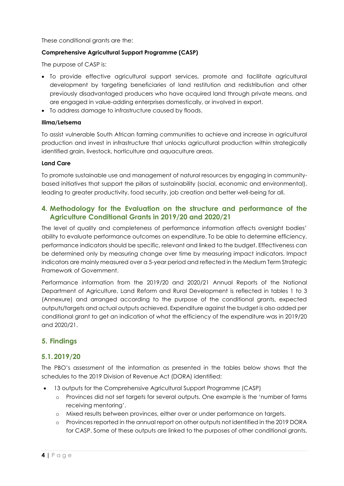These conditional grants are the:

## **Comprehensive Agricultural Support Programme (CASP)**

The purpose of CASP is:

- To provide effective agricultural support services, promote and facilitate agricultural development by targeting beneficiaries of land restitution and redistribution and other previously disadvantaged producers who have acquired land through private means, and are engaged in value-adding enterprises domestically, or involved in export.
- To address damage to infrastructure caused by floods.

### **Ilima/Letsema**

To assist vulnerable South African farming communities to achieve and increase in agricultural production and invest in infrastructure that unlocks agricultural production within strategically identified grain, livestock, horticulture and aquaculture areas.

### **Land Care**

To promote sustainable use and management of natural resources by engaging in communitybased initiatives that support the pillars of sustainability (social, economic and environmental), leading to greater productivity, food security, job creation and better well-being for all.

# **4. Methodology for the Evaluation on the structure and performance of the Agriculture Conditional Grants in 2019/20 and 2020/21**

The level of quality and completeness of performance information affects oversight bodies' ability to evaluate performance outcomes on expenditure. To be able to determine efficiency, performance indicators should be specific, relevant and linked to the budget. Effectiveness can be determined only by measuring change over time by measuring impact indicators. Impact indicators are mainly measured over a 5-year period and reflected in the Medium Term Strategic Framework of Government.

Performance information from the 2019/20 and 2020/21 Annual Reports of the National Department of Agriculture, Land Reform and Rural Development is reflected in tables 1 to 3 (Annexure) and arranged according to the purpose of the conditional grants, expected outputs/targets and actual outputs achieved. Expenditure against the budget is also added per conditional grant to get an indication of what the efficiency of the expenditure was in 2019/20 and 2020/21.

# **5. Findings**

# **5.1.2019/20**

The PBO's assessment of the information as presented in the tables below shows that the schedules to the 2019 Division of Revenue Act (DORA) identified:

- 13 outputs for the Comprehensive Agricultural Support Programme (CASP)
	- o Provinces did not set targets for several outputs. One example is the 'number of farms receiving mentoring'.
	- o Mixed results between provinces, either over or under performance on targets.
	- o Provinces reported in the annual report on other outputs not identified in the 2019 DORA for CASP. Some of these outputs are linked to the purposes of other conditional grants.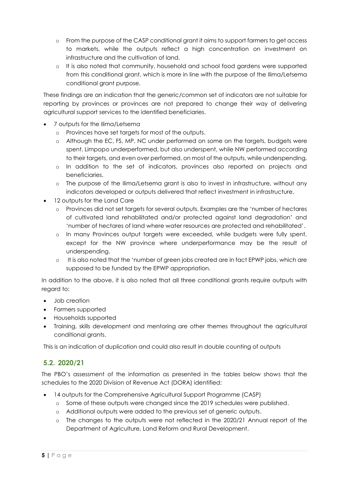- o From the purpose of the CASP conditional grant it aims to support farmers to get access to markets, while the outputs reflect a high concentration on investment on infrastructure and the cultivation of land.
- o It is also noted that community, household and school food gardens were supported from this conditional grant, which is more in line with the purpose of the Ilima/Letsema conditional grant purpose.

These findings are an indication that the generic/common set of indicators are not suitable for reporting by provinces or provinces are not prepared to change their way of delivering agricultural support services to the identified beneficiaries.

- 7 outputs for the Ilima/Letsema
	- o Provinces have set targets for most of the outputs.
	- o Although the EC, FS, MP, NC under performed on some on the targets, budgets were spent. Limpopo underperformed, but also underspent, while NW performed according to their targets, and even over performed, on most of the outputs, while underspending.
	- o In addition to the set of indicators, provinces also reported on projects and beneficiaries.
	- o The purpose of the Ilima/Letsema grant is also to invest in infrastructure, without any indicators developed or outputs delivered that reflect investment in infrastructure.
- 12 outputs for the Land Care
	- o Provinces did not set targets for several outputs. Examples are the 'number of hectares of cultivated land rehabilitated and/or protected against land degradation' and 'number of hectares of land where water resources are protected and rehabilitated'.
	- o In many Provinces output targets were exceeded, while budgets were fully spent, except for the NW province where underperformance may be the result of underspending.
	- o It is also noted that the 'number of green jobs created are in fact EPWP jobs, which are supposed to be funded by the EPWP appropriation.

In addition to the above, it is also noted that all three conditional grants require outputs with regard to:

- Job creation
- Farmers supported
- Households supported
- Training, skills development and mentoring are other themes throughout the agricultural conditional grants.

This is an indication of duplication and could also result in double counting of outputs

# **5.2. 2020/21**

The PBO's assessment of the information as presented in the tables below shows that the schedules to the 2020 Division of Revenue Act (DORA) identified:

- 14 outputs for the Comprehensive Agricultural Support Programme (CASP)
	- o Some of these outputs were changed since the 2019 schedules were published.
	- o Additional outputs were added to the previous set of generic outputs.
	- o The changes to the outputs were not reflected in the 2020/21 Annual report of the Department of Agriculture, Land Reform and Rural Development.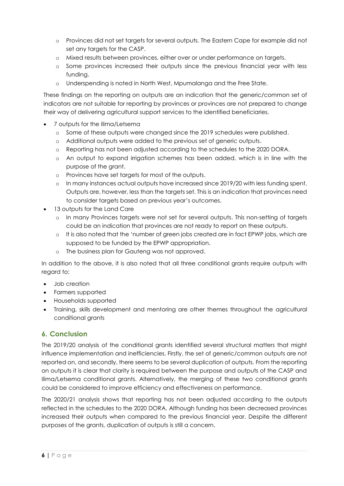- o Provinces did not set targets for several outputs. The Eastern Cape for example did not set any targets for the CASP.
- o Mixed results between provinces, either over or under performance on targets.
- o Some provinces increased their outputs since the previous financial year with less funding.
- o Underspending is noted in North West, Mpumalanga and the Free State.

These findings on the reporting on outputs are an indication that the generic/common set of indicators are not suitable for reporting by provinces or provinces are not prepared to change their way of delivering agricultural support services to the identified beneficiaries.

- 7 outputs for the Ilima/Letsema
	- o Some of these outputs were changed since the 2019 schedules were published.
	- o Additional outputs were added to the previous set of generic outputs.
	- o Reporting has not been adjusted according to the schedules to the 2020 DORA.
	- o An output to expand irrigation schemes has been added, which is in line with the purpose of the grant.
	- o Provinces have set targets for most of the outputs.
	- o In many instances actual outputs have increased since 2019/20 with less funding spent. Outputs are, however, less than the targets set. This is an indication that provinces need to consider targets based on previous year's outcomes.
- 13 outputs for the Land Care
	- o In many Provinces targets were not set for several outputs. This non-setting of targets could be an indication that provinces are not ready to report on these outputs.
	- $\circ$  It is also noted that the 'number of green jobs created are in fact EPWP jobs, which are supposed to be funded by the EPWP appropriation.
	- o The business plan for Gauteng was not approved.

In addition to the above, it is also noted that all three conditional grants require outputs with regard to:

- Job creation
- Farmers supported
- Households supported
- Training, skills development and mentoring are other themes throughout the agricultural conditional grants

# **6. Conclusion**

The 2019/20 analysis of the conditional grants identified several structural matters that might influence implementation and inefficiencies. Firstly, the set of generic/common outputs are not reported on, and secondly, there seems to be several duplication of outputs. From the reporting on outputs it is clear that clarity is required between the purpose and outputs of the CASP and Ilima/Letsema conditional grants. Alternatively, the merging of these two conditional grants could be considered to improve efficiency and effectiveness on performance.

The 2020/21 analysis shows that reporting has not been adjusted according to the outputs reflected in the schedules to the 2020 DORA. Although funding has been decreased provinces increased their outputs when compared to the previous financial year. Despite the different purposes of the grants, duplication of outputs is still a concern.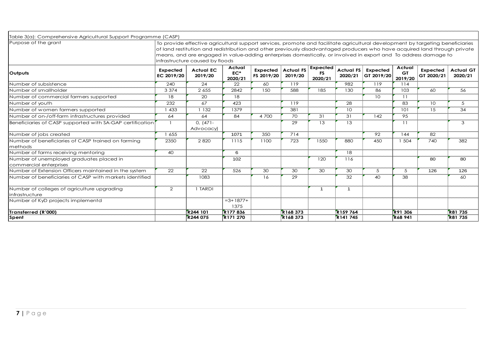| Table 3(a): Comprehensive Agricultural Support Programme (CASP)    |                               |                                                                                                                                                                                                                                                                                                                                                                                                                    |                            |                        |                             |                           |                             |                        |                         |                               |                             |
|--------------------------------------------------------------------|-------------------------------|--------------------------------------------------------------------------------------------------------------------------------------------------------------------------------------------------------------------------------------------------------------------------------------------------------------------------------------------------------------------------------------------------------------------|----------------------------|------------------------|-----------------------------|---------------------------|-----------------------------|------------------------|-------------------------|-------------------------------|-----------------------------|
| Purpose of the grant                                               |                               | To provide effective agricultural support services, promote and facilitate agricultural development by targeting beneficiaries<br>of land restitution and redistribution and other previously disadvantaged producers who have acquired land through private<br>means, and are engaged in value-adding enterprises domestically, or involved in export and To address damage to<br>infrastructure caused by floods |                            |                        |                             |                           |                             |                        |                         |                               |                             |
| Outputs                                                            | <b>Expected</b><br>EC 2019/20 | <b>Actual EC</b><br>2019/20                                                                                                                                                                                                                                                                                                                                                                                        | Actual<br>$EC*$<br>2020/21 | Expected<br>FS 2019/20 | <b>Actual FS</b><br>2019/20 | Expected<br>FS<br>2020/21 | <b>Actual FS</b><br>2020/21 | Expected<br>GT 2019/20 | Actual<br>GT<br>2019/20 | <b>Expected</b><br>GT 2020/21 | <b>Actual GT</b><br>2020/21 |
| Number of subsistence                                              | 240                           | 24                                                                                                                                                                                                                                                                                                                                                                                                                 | 22                         | 60                     | 119                         |                           | 982                         | 119                    | 114                     |                               |                             |
| Number of smallholder                                              | 3 3 7 4                       | 2 6 5 5                                                                                                                                                                                                                                                                                                                                                                                                            | 2842                       | 150                    | 588                         | 185                       | 130                         | 86                     | 103                     | 60                            | 56                          |
| Number of commercial farmers supported                             | 18                            | 20                                                                                                                                                                                                                                                                                                                                                                                                                 | 18                         |                        |                             |                           |                             | 10                     | 11                      |                               |                             |
| Number of youth                                                    | 232                           | 67                                                                                                                                                                                                                                                                                                                                                                                                                 | 423                        |                        | 119                         |                           | 28                          |                        | 83                      | 10                            | 5                           |
| Number of women farmers supported                                  | 1 433                         | 132                                                                                                                                                                                                                                                                                                                                                                                                                | 1379                       |                        | 381                         |                           | 10 <sup>°</sup>             |                        | 101                     | 15                            | 34                          |
| Number of on-/off-farm infrastructures provided                    | 64                            | 64                                                                                                                                                                                                                                                                                                                                                                                                                 | 84                         | 4 700                  | 70                          | 31                        | 31                          | 142                    | 95                      |                               |                             |
| Beneficiaries of CASP supported with SA-GAP certification          | $\overline{1}$                | $0, (471 -$<br>Advocacy)                                                                                                                                                                                                                                                                                                                                                                                           |                            |                        | 29                          | 13                        | 13                          |                        | 11                      |                               | 3                           |
| Number of jobs created                                             | 1 655                         |                                                                                                                                                                                                                                                                                                                                                                                                                    | 1071                       | 350                    | 714                         |                           |                             | 92                     | 144                     | 82                            |                             |
| Number of beneficiaries of CASP trained on farming<br>methods      | 2350                          | 2820                                                                                                                                                                                                                                                                                                                                                                                                               | 1115                       | 1100                   | 723                         | 1550                      | 880                         | 450                    | 504                     | 740                           | 382                         |
| Number of farms receiving mentoring                                | 40                            |                                                                                                                                                                                                                                                                                                                                                                                                                    | 6                          |                        |                             |                           | 18                          |                        |                         |                               |                             |
| Number of unemployed graduates placed in<br>commercial enterprises |                               |                                                                                                                                                                                                                                                                                                                                                                                                                    | 102                        |                        |                             | 120                       | 116                         |                        |                         | 80                            | 80                          |
| Number of Extension Officers maintained in the system              | 22                            | 22                                                                                                                                                                                                                                                                                                                                                                                                                 | 526                        | 30                     | 30                          | $\overline{30}$           | 30                          | 5                      | 5                       | 126                           | 126                         |
| Number of beneficiaries of CASP with markets identified            |                               | 1083                                                                                                                                                                                                                                                                                                                                                                                                               |                            | 16                     | 29                          |                           | 32                          | 40                     | 38                      |                               | 60                          |
| Number of colleges of agriculture upgrading                        | 2                             | 1 TARDI                                                                                                                                                                                                                                                                                                                                                                                                            |                            |                        |                             | -1                        | $\mathbf{1}$                |                        |                         |                               |                             |
| infrastructure                                                     |                               |                                                                                                                                                                                                                                                                                                                                                                                                                    |                            |                        |                             |                           |                             |                        |                         |                               |                             |
| Number of KyD projects implementd                                  |                               |                                                                                                                                                                                                                                                                                                                                                                                                                    | $=3+1877+$<br>1375         |                        |                             |                           |                             |                        |                         |                               |                             |
| Transferred (R'000)                                                |                               | R244 101                                                                                                                                                                                                                                                                                                                                                                                                           | R177836                    |                        | R168 373                    |                           | R <sub>159</sub> 764        |                        | R91 306                 |                               | <b>R81735</b>               |
| Spent                                                              |                               | R244 075                                                                                                                                                                                                                                                                                                                                                                                                           | <b>R171 270</b>            |                        | R168 373                    |                           | R141 745                    |                        | <b>R68941</b>           |                               | <b>R81735</b>               |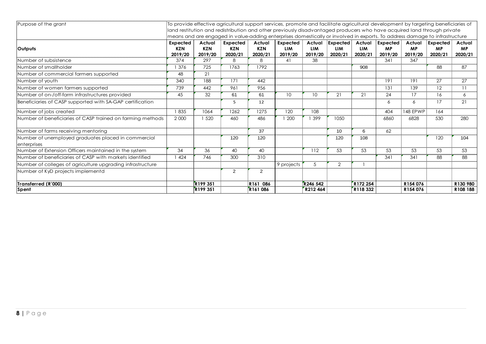| Purpose of the grant<br>To provide effective agricultural support services, promote and facilitate agricultural development by targeting beneficiaries of<br>land restitution and redistribution and other previously disadvantaged producers who have acquired land through private |                                   |                                 |                                   |                          |                                                                                                                            |                                 |                            |                                 |                                  |                                |                                  |                                |
|--------------------------------------------------------------------------------------------------------------------------------------------------------------------------------------------------------------------------------------------------------------------------------------|-----------------------------------|---------------------------------|-----------------------------------|--------------------------|----------------------------------------------------------------------------------------------------------------------------|---------------------------------|----------------------------|---------------------------------|----------------------------------|--------------------------------|----------------------------------|--------------------------------|
|                                                                                                                                                                                                                                                                                      |                                   |                                 |                                   |                          | means and are engaged in value-adding enterprises domestically or involved in exports. To address damage to infrastructure |                                 |                            |                                 |                                  |                                |                                  |                                |
| <b>Outputs</b>                                                                                                                                                                                                                                                                       | Expected<br><b>KZN</b><br>2019/20 | Actual<br><b>KZN</b><br>2019/20 | Expected<br><b>KZN</b><br>2020/21 | Actual<br>KZN<br>2020/21 | Expected<br><b>LIM</b><br>2019/20                                                                                          | Actual<br><b>LIM</b><br>2019/20 | Expected<br>LIM<br>2020/21 | Actual<br><b>LIM</b><br>2020/21 | Expected<br><b>MP</b><br>2019/20 | Actual<br><b>MP</b><br>2019/20 | Expected<br><b>MP</b><br>2020/21 | Actual<br><b>MP</b><br>2020/21 |
| Number of subsistence                                                                                                                                                                                                                                                                | 374                               | 297                             | 8                                 | 8                        | 41                                                                                                                         | 38                              |                            |                                 | 341                              | 347                            |                                  |                                |
| Number of smallholder                                                                                                                                                                                                                                                                | 1 376                             | 725                             | 1763                              | 1792                     |                                                                                                                            |                                 |                            | 908                             |                                  |                                | 88                               | 87                             |
| Number of commercial farmers supported                                                                                                                                                                                                                                               | 48                                | 21                              |                                   |                          |                                                                                                                            |                                 |                            |                                 |                                  |                                |                                  |                                |
| Number of youth                                                                                                                                                                                                                                                                      | 340                               | 188                             | 171                               | 442                      |                                                                                                                            |                                 |                            |                                 | 191                              | 191                            | 27                               | 27                             |
| Number of women farmers supported                                                                                                                                                                                                                                                    | 739                               | 442                             | 961                               | 956                      |                                                                                                                            |                                 |                            |                                 | 131                              | 139                            | 12                               | 11                             |
| Number of on-/off-farm infrastructures provided                                                                                                                                                                                                                                      | 45                                | 32                              | 61                                | 61                       | 10 <sup>°</sup>                                                                                                            | 10                              | 21                         | 21                              | 24                               | 17                             | 16                               | 6                              |
| Beneficiaries of CASP supported with SA-GAP certification                                                                                                                                                                                                                            |                                   |                                 | 5                                 | 12                       |                                                                                                                            |                                 |                            |                                 | 6                                | 6                              | 17                               | 21                             |
| Number of jobs created                                                                                                                                                                                                                                                               | 1835                              | 1064                            | 1262                              | 1275                     | 120                                                                                                                        | 108                             |                            |                                 | 404                              | 148 EPWP                       | 164                              |                                |
| Number of beneficiaries of CASP trained on farming methods                                                                                                                                                                                                                           | 2 0 0 0                           | 1 520                           | 460                               | 486                      | 1 200                                                                                                                      | 399                             | 1050                       |                                 | 6860                             | 6828                           | 530                              | 280                            |
| Number of farms receiving mentoring                                                                                                                                                                                                                                                  |                                   |                                 |                                   | 37                       |                                                                                                                            |                                 | 10                         | 6                               | 62                               |                                |                                  |                                |
| Number of unemployed graduates placed in commercial<br>enterprises                                                                                                                                                                                                                   |                                   |                                 | 120                               | 120                      |                                                                                                                            |                                 | 120                        | 108                             |                                  |                                | 120                              | 104                            |
| Number of Extension Officers maintained in the system                                                                                                                                                                                                                                | 34                                | 36                              | 40                                | 40                       |                                                                                                                            | 112                             | 53                         | 53                              | 53                               | 53                             | 53                               | 53                             |
| Number of beneficiaries of CASP with markets identified                                                                                                                                                                                                                              | 1424                              | 746                             | 300                               | 310                      |                                                                                                                            |                                 |                            |                                 | 341                              | 341                            | 88                               | 88                             |
| Number of colleges of agriculture upgrading infrastructure                                                                                                                                                                                                                           |                                   |                                 |                                   |                          | 9 projects                                                                                                                 | 5                               | $\overline{2}$             | $\mathbf{1}$                    |                                  |                                |                                  |                                |
| Number of KyD projects implementd                                                                                                                                                                                                                                                    |                                   |                                 | 2                                 | 2                        |                                                                                                                            |                                 |                            |                                 |                                  |                                |                                  |                                |
| Transferred (R'000)                                                                                                                                                                                                                                                                  |                                   | <b>R199 351</b>                 |                                   | R161 086                 |                                                                                                                            | R246 542                        |                            | R172 254                        |                                  | R154 076                       |                                  | R130 980                       |
| Spent                                                                                                                                                                                                                                                                                |                                   | R <sub>199</sub> 351            |                                   | R161086                  |                                                                                                                            | R212464                         |                            | R118 332                        |                                  | R154 076                       |                                  | R108 188                       |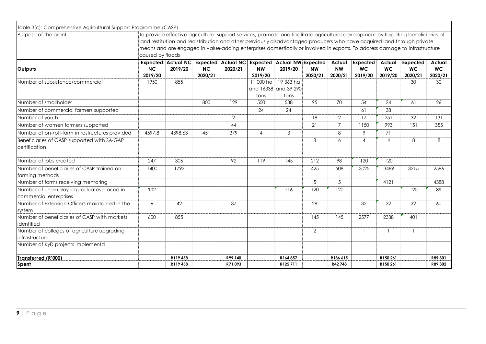| Table 3(c): Comprehensive Agricultural Support Programme (CASP)    |                                                                                                                                                |                                      |                      |                                      |                      |                                                                                                                                                                                                                                                              |                      |                                |                                  |                                |                                  |                                |  |
|--------------------------------------------------------------------|------------------------------------------------------------------------------------------------------------------------------------------------|--------------------------------------|----------------------|--------------------------------------|----------------------|--------------------------------------------------------------------------------------------------------------------------------------------------------------------------------------------------------------------------------------------------------------|----------------------|--------------------------------|----------------------------------|--------------------------------|----------------------------------|--------------------------------|--|
| Purpose of the arant                                               |                                                                                                                                                |                                      |                      |                                      |                      | To provide effective agricultural support services, promote and facilitate agricultural development by targeting beneficiaries of<br>land restitution and redistribution and other previously disadvantaged producers who have acquired land through private |                      |                                |                                  |                                |                                  |                                |  |
|                                                                    | means and are engaged in value-adding enterprises domestically or involved in exports. To address damage to infrastructure<br>caused by floods |                                      |                      |                                      |                      |                                                                                                                                                                                                                                                              |                      |                                |                                  |                                |                                  |                                |  |
| <b>Outputs</b>                                                     | NC<br>2019/20                                                                                                                                  | <b>Expected Actual NC</b><br>2019/20 | <b>NC</b><br>2020/21 | <b>Expected Actual NC</b><br>2020/21 | <b>NW</b><br>2019/20 | <b>Expected Actual NW Expected</b><br>2019/20                                                                                                                                                                                                                | <b>NW</b><br>2020/21 | Actual<br><b>NW</b><br>2020/21 | Expected<br><b>WC</b><br>2019/20 | Actual<br><b>WC</b><br>2019/20 | Expected<br><b>WC</b><br>2020/21 | Actual<br><b>WC</b><br>2020/21 |  |
| Number of subsistence/commercial                                   | 1950                                                                                                                                           | 855                                  |                      |                                      | 11 000 ha<br>tons    | 19 363 ha<br>and 16338 and 39 290<br>tons                                                                                                                                                                                                                    |                      |                                |                                  |                                | 30                               | 30                             |  |
| Number of smallholder                                              |                                                                                                                                                |                                      | 800                  | 129                                  | 550                  | 538                                                                                                                                                                                                                                                          | 95                   | 70                             | 54                               | 24                             | 61                               | 26                             |  |
| Number of commercial farmers supported                             |                                                                                                                                                |                                      |                      |                                      | 24                   | 24                                                                                                                                                                                                                                                           |                      |                                | 61                               | 38                             |                                  |                                |  |
| Number of youth                                                    |                                                                                                                                                |                                      |                      | $\mathbf{2}$                         |                      |                                                                                                                                                                                                                                                              | 18                   | $\overline{2}$                 | 17                               | 251                            | 32                               | 131                            |  |
| Number of women farmers supported                                  |                                                                                                                                                |                                      |                      | 44                                   |                      |                                                                                                                                                                                                                                                              | 21                   | $\overline{7}$                 | 1150                             | 993                            | 151                              | 355                            |  |
| Number of on-/off-farm infrastructures provided                    | 4597.8                                                                                                                                         | 4398.63                              | 451                  | 379                                  | 4                    | 3                                                                                                                                                                                                                                                            |                      | 8                              | 9                                | 71                             |                                  |                                |  |
| Beneficiaries of CASP supported with SA-GAP<br>certification       |                                                                                                                                                |                                      |                      |                                      |                      |                                                                                                                                                                                                                                                              | 8                    | 6                              | $\overline{4}$                   | 4                              | 8                                | 8                              |  |
| Number of jobs created                                             | 247                                                                                                                                            | 306                                  |                      | 92                                   | 119                  | 145                                                                                                                                                                                                                                                          | 212                  | 98                             | 120                              | 120                            |                                  |                                |  |
| Number of beneficiaries of CASP trained on<br>farming methods      | 1400                                                                                                                                           | 1793                                 |                      |                                      |                      |                                                                                                                                                                                                                                                              | 425                  | 508                            | 3025                             | 3489                           | 3215                             | 2586                           |  |
| Number of farms receiving mentoring                                |                                                                                                                                                |                                      |                      |                                      |                      |                                                                                                                                                                                                                                                              | 5                    | 5                              |                                  | 4121                           |                                  | 4388                           |  |
| Number of unemployed graduates placed in<br>commercial enterprises | 102                                                                                                                                            |                                      |                      |                                      |                      | 116                                                                                                                                                                                                                                                          | 120                  | 120                            |                                  |                                | 120                              | 89                             |  |
| Number of Extension Officers maintained in the<br>system           | 6                                                                                                                                              | 42                                   |                      | 37                                   |                      |                                                                                                                                                                                                                                                              | 28                   |                                | 32                               | 32                             | 32                               | 60                             |  |
| Number of beneficiaries of CASP with markets<br>lidentified        | 600                                                                                                                                            | 855                                  |                      |                                      |                      |                                                                                                                                                                                                                                                              | 145                  | 145                            | 2577                             | 2338                           | 401                              |                                |  |
| Number of colleges of agriculture upgrading<br>linfrastructure     |                                                                                                                                                |                                      |                      |                                      |                      |                                                                                                                                                                                                                                                              | $\overline{2}$       |                                | $\mathbf{1}$                     |                                | $\overline{1}$                   |                                |  |
| Number of KyD projects implementd                                  |                                                                                                                                                |                                      |                      |                                      |                      |                                                                                                                                                                                                                                                              |                      |                                |                                  |                                |                                  |                                |  |
| Transferred (R'000)                                                |                                                                                                                                                | R119 458                             |                      | R99 140                              |                      | R164857                                                                                                                                                                                                                                                      |                      | R136 615                       |                                  | R150 261                       |                                  | R89 301                        |  |
| Spent                                                              |                                                                                                                                                | R119458                              |                      | R71093                               |                      | R125711                                                                                                                                                                                                                                                      |                      | R42 748                        |                                  | R150 261                       |                                  | R89 302                        |  |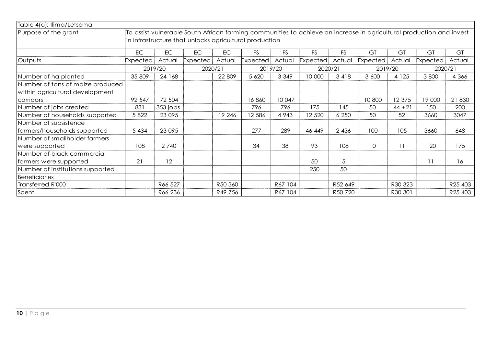| Table 4(a): llima/Letsema        |           |           |                                                        |         |                 |           |                 |           |                 |           |                                                                                                                     |         |
|----------------------------------|-----------|-----------|--------------------------------------------------------|---------|-----------------|-----------|-----------------|-----------|-----------------|-----------|---------------------------------------------------------------------------------------------------------------------|---------|
| Purpose of the grant             |           |           |                                                        |         |                 |           |                 |           |                 |           | To assist vulnerable South African farming communities to achieve an increase in agricultural production and invest |         |
|                                  |           |           | in infrastructure that unlocks agricultural production |         |                 |           |                 |           |                 |           |                                                                                                                     |         |
|                                  | <b>EC</b> | <b>EC</b> | EC                                                     | EC      | FS              | <b>FS</b> | <b>FS</b>       | <b>FS</b> | GT              | GT        | GT                                                                                                                  | GT      |
| Outputs                          | Expected  | Actual    | <b>Expected</b>                                        | Actual  | <b>Expected</b> | Actual    | <b>Expected</b> | Actual    | <b>Expected</b> | Actual    | <b>Expected</b>                                                                                                     | Actual  |
|                                  |           | 2019/20   | 2020/21                                                |         |                 | 2019/20   | 2020/21         |           |                 | 2019/20   | 2020/21                                                                                                             |         |
| Number of ha planted             | 35 809    | 24 168    |                                                        | 22 809  | 5 6 20          | 3 3 4 9   | 10 000          | 3 4 1 8   | 3 600           | 4 1 2 5   | 3 800                                                                                                               | 4 3 6 6 |
| Number of tons of maize produced |           |           |                                                        |         |                 |           |                 |           |                 |           |                                                                                                                     |         |
| within agricultural development  |           |           |                                                        |         |                 |           |                 |           |                 |           |                                                                                                                     |         |
| corridors                        | 92 547    | 72 504    |                                                        |         | 16860           | 10 047    |                 |           | 10 800          | 12 375    | 19 000                                                                                                              | 21 830  |
| Number of jobs created           | 831       | 353 jobs  |                                                        |         | 796             | 796       | 175             | 145       | 50              | $44 + 21$ | 150                                                                                                                 | 200     |
| Number of households supported   | 5 8 2 2   | 23 0 95   |                                                        | 19 24 6 | 12 586          | 4 9 4 3   | 12 5 20         | 6 2 5 0   | 50              | 52        | 3660                                                                                                                | 3047    |
| Number of subsistence            |           |           |                                                        |         |                 |           |                 |           |                 |           |                                                                                                                     |         |
| farmers/households supported     | 5 4 3 4   | 23 0 95   |                                                        |         | 277             | 289       | 46 449          | 2 4 3 6   | 100             | 105       | 3660                                                                                                                | 648     |
| Number of smallholder farmers    |           |           |                                                        |         |                 |           |                 |           |                 |           |                                                                                                                     |         |
| were supported                   | 108       | 2 7 4 0   |                                                        |         | 34              | 38        | 93              | 108       | 10 <sup>°</sup> | 11        | 120                                                                                                                 | 175     |
| Number of black commercial       |           |           |                                                        |         |                 |           |                 |           |                 |           |                                                                                                                     |         |
| farmers were supported           | 21        | 12        |                                                        |         |                 |           | 50              | 5         |                 |           | 11                                                                                                                  | 16      |
| Number of institutions supported |           |           |                                                        |         |                 |           | 250             | 50        |                 |           |                                                                                                                     |         |
| <b>Beneficiaries</b>             |           |           |                                                        |         |                 |           |                 |           |                 |           |                                                                                                                     |         |
| Transferred R'000                |           | R66 527   |                                                        | R50 360 |                 | R67 104   |                 | R52 649   |                 | R30 323   |                                                                                                                     | R25 403 |
| Spent                            |           | R66 236   |                                                        | R49 756 |                 | R67 104   |                 | R50 720   |                 | R30 301   |                                                                                                                     | R25 403 |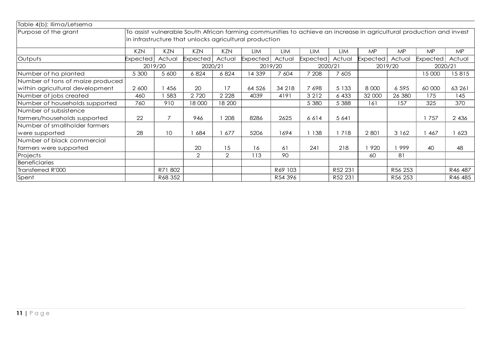| Table 4(b): llima/Letsema        |                                                                                                                                                                               |            |                 |         |                 |         |                 |         |           |         |           |           |  |  |
|----------------------------------|-------------------------------------------------------------------------------------------------------------------------------------------------------------------------------|------------|-----------------|---------|-----------------|---------|-----------------|---------|-----------|---------|-----------|-----------|--|--|
| Purpose of the grant             | To assist vulnerable South African farming communities to achieve an increase in agricultural production and invest<br>in infrastructure that unlocks agricultural production |            |                 |         |                 |         |                 |         |           |         |           |           |  |  |
|                                  | <b>KZN</b>                                                                                                                                                                    | <b>KZN</b> | <b>KZN</b>      | KZN     | <b>LIM</b>      | LIM     | <b>LIM</b>      | LIM     | <b>MP</b> | MP      | <b>MP</b> | <b>MP</b> |  |  |
| Outputs                          | Expected                                                                                                                                                                      | Actual     | <b>Expected</b> | Actual  | <b>Expected</b> | Actual  | <b>Expected</b> | Actual  | Expected  | Actual  | Expected  | Actual    |  |  |
|                                  |                                                                                                                                                                               | 2019/20    | 2020/21         |         | 2019/20         |         | 2020/21         |         |           | 2019/20 | 2020/21   |           |  |  |
| Number of ha planted             | 5 300                                                                                                                                                                         | 5 600      | 6824            | 6824    | 14 3 39         | 7 604   | 7 208           | 7 6 0 5 |           |         | 15 000    | 15815     |  |  |
| Number of tons of maize produced |                                                                                                                                                                               |            |                 |         |                 |         |                 |         |           |         |           |           |  |  |
| within agricultural development  | 2 600                                                                                                                                                                         | 456        | 20              | 17      | 64 5 26         | 34 218  | 7698            | 5 1 3 3 | 8 0 0 0   | 6 5 9 5 | 60 000    | 63 261    |  |  |
| Number of jobs created           | 460                                                                                                                                                                           | 583        | 2 7 2 0         | 2 2 2 8 | 4039            | 4191    | 3 2 1 2         | 6 4 3 3 | 32 000    | 26 380  | 175       | 145       |  |  |
| Number of households supported   | 760                                                                                                                                                                           | 910        | 18 000          | 18 200  |                 |         | 5 3 8 0         | 5 3 8 8 | 161       | 157     | 325       | 370       |  |  |
| Number of subsistence            |                                                                                                                                                                               |            |                 |         |                 |         |                 |         |           |         |           |           |  |  |
| farmers/households supported     | 22                                                                                                                                                                            |            | 946             | 208     | 8286            | 2625    | 6614            | 5 641   |           |         | 757       | 2 4 3 6   |  |  |
| Number of smallholder farmers    |                                                                                                                                                                               |            |                 |         |                 |         |                 |         |           |         |           |           |  |  |
| were supported                   | 28                                                                                                                                                                            | 10         | 684             | 677     | 5206            | 1694    | 138             | 1 718   | 2 8 0 1   | 3 1 6 2 | 467       | 623       |  |  |
| Number of black commercial       |                                                                                                                                                                               |            |                 |         |                 |         |                 |         |           |         |           |           |  |  |
| farmers were supported           |                                                                                                                                                                               |            | 20              | 15      | 16              | 61      | 241             | 218     | 920       | 999     | 40        | 48        |  |  |
| Projects                         |                                                                                                                                                                               |            | 2               | 2       | 113             | 90      |                 |         | 60        | 81      |           |           |  |  |
| Beneficiaries                    |                                                                                                                                                                               |            |                 |         |                 |         |                 |         |           |         |           |           |  |  |
| Transferred R'000                |                                                                                                                                                                               | R71802     |                 |         |                 | R69 103 |                 | R52 231 |           | R56 253 |           | R46 487   |  |  |
| Spent                            |                                                                                                                                                                               | R68 352    |                 |         |                 | R54 396 |                 | R52 231 |           | R56 253 |           | R46 485   |  |  |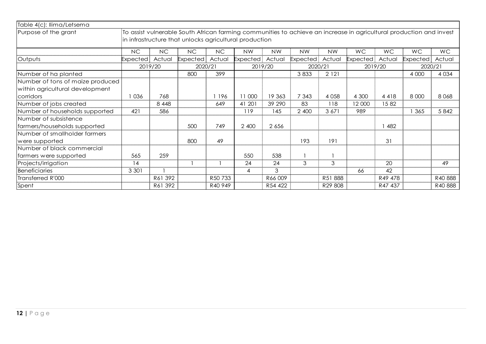| Table 4(c): llima/Letsema<br>Purpose of the grant |          |           | in infrastructure that unlocks agricultural production |         |           |           |                 |           |           |           | To assist vulnerable South African farming communities to achieve an increase in agricultural production and invest |           |
|---------------------------------------------------|----------|-----------|--------------------------------------------------------|---------|-----------|-----------|-----------------|-----------|-----------|-----------|---------------------------------------------------------------------------------------------------------------------|-----------|
|                                                   | NC       | <b>NC</b> | <b>NC</b>                                              | NC      | <b>NW</b> | <b>NW</b> | <b>NW</b>       | <b>NW</b> | <b>WC</b> | <b>WC</b> | WC                                                                                                                  | <b>WC</b> |
| Outputs                                           | Expected | Actual    | Expected                                               | Actual  | Expected  | Actual    | <b>Expected</b> | Actual    | Expected  | Actual    | <b>Expected</b>                                                                                                     | Actual    |
|                                                   |          | 2019/20   | 2020/21                                                |         | 2019/20   |           | 2020/21         |           |           | 2019/20   | 2020/21                                                                                                             |           |
| Number of ha planted                              |          |           | 800                                                    | 399     |           |           | 3833            | 2 1 2 1   |           |           | 4 0 0 0                                                                                                             | 4 0 34    |
| Number of tons of maize produced                  |          |           |                                                        |         |           |           |                 |           |           |           |                                                                                                                     |           |
| within agricultural development                   |          |           |                                                        |         |           |           |                 |           |           |           |                                                                                                                     |           |
| corridors                                         | 036      | 768       |                                                        | 1 196   | 11 000    | 19 363    | 7 3 4 3         | 4 0 5 8   | 4 300     | 4418      | 8 0 0 0                                                                                                             | 8068      |
| Number of jobs created                            |          | 8 4 4 8   |                                                        | 649     | 41 201    | 39 290    | 83              | 118       | 12 000    | 1582      |                                                                                                                     |           |
| Number of households supported                    | 421      | 586       |                                                        |         | 119       | 145       | 2 400           | 3671      | 989       |           | 365                                                                                                                 | 5842      |
| Number of subsistence                             |          |           |                                                        |         |           |           |                 |           |           |           |                                                                                                                     |           |
| farmers/households supported                      |          |           | 500                                                    | 749     | 2 400     | 2 6 5 6   |                 |           |           | 1 482     |                                                                                                                     |           |
| Number of smallholder farmers                     |          |           |                                                        |         |           |           |                 |           |           |           |                                                                                                                     |           |
| were supported                                    |          |           | 800                                                    | 49      |           |           | 193             | 191       |           | 31        |                                                                                                                     |           |
| Number of black commercial                        |          |           |                                                        |         |           |           |                 |           |           |           |                                                                                                                     |           |
| farmers were supported                            | 565      | 259       |                                                        |         | 550       | 538       |                 |           |           |           |                                                                                                                     |           |
| Projects/irrigation                               | 14       |           |                                                        |         | 24        | 24        | 3               | 3         |           | 20        |                                                                                                                     | 49        |
| Beneficiaries                                     | 3 3 0 1  |           |                                                        |         | 4         | 3         |                 |           | 66        | 42        |                                                                                                                     |           |
| Transferred R'000                                 |          | R61 392   |                                                        | R50 733 |           | R66 009   |                 | R51888    |           | R49 478   |                                                                                                                     | R40888    |
| Spent                                             |          | R61 392   |                                                        | R40 949 |           | R54 422   |                 | R29 808   |           | R47 437   |                                                                                                                     | R40888    |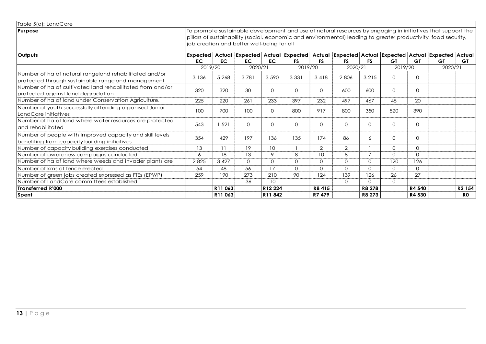| Table 5(a): LandCare                                                                                      |                                            |                     |           |          |           |           |                                                                                                                                                                                                                               |                |           |              |           |                    |
|-----------------------------------------------------------------------------------------------------------|--------------------------------------------|---------------------|-----------|----------|-----------|-----------|-------------------------------------------------------------------------------------------------------------------------------------------------------------------------------------------------------------------------------|----------------|-----------|--------------|-----------|--------------------|
| Purpose                                                                                                   | job creation and better well-being for all |                     |           |          |           |           | To promote sustainable development and use of natural resources by engaging in initiatives that support the<br>pillars of sustainability (social, economic and environmental) leading to greater productivity, food security, |                |           |              |           |                    |
| Outputs                                                                                                   |                                            |                     |           |          |           |           | Expected   Actual  Expected   Actual  Expected   Actual  Expected  Actual  Expected  Actual  Expected  Actual                                                                                                                 |                |           |              |           |                    |
|                                                                                                           | <b>EC</b>                                  | <b>EC</b>           | <b>EC</b> | EC.      | <b>FS</b> | <b>FS</b> | <b>FS</b>                                                                                                                                                                                                                     | <b>FS</b>      | <b>GT</b> | <b>GT</b>    | <b>GT</b> | <b>GT</b>          |
|                                                                                                           | 2019/20                                    |                     | 2020/21   |          | 2019/20   |           | 2020/21                                                                                                                                                                                                                       |                | 2019/20   |              | 2020/21   |                    |
| Number of ha of natural rangeland rehabilitated and/or                                                    | 3 1 3 6                                    | 5 2 6 8             | 3781      | 3 5 9 0  | 3 3 3 1   | 3418      | 2806                                                                                                                                                                                                                          | 3 2 1 5        | $\Omega$  | $\mathbf{0}$ |           |                    |
| protected through sustainable rangeland management                                                        |                                            |                     |           |          |           |           |                                                                                                                                                                                                                               |                |           |              |           |                    |
| Number of ha of cultivated land rehabilitated from and/or<br>protected against land degradation           | 320                                        | 320                 | 30        | $\Omega$ | $\Omega$  | $\Omega$  | 600                                                                                                                                                                                                                           | 600            | $\Omega$  | $\circ$      |           |                    |
|                                                                                                           |                                            |                     |           |          | 397       |           | 497                                                                                                                                                                                                                           |                |           | 20           |           |                    |
| Number of ha of land under Conservation Agriculture.                                                      | 225                                        | 220                 | 261       | 233      |           | 232       |                                                                                                                                                                                                                               | 467            | 45        |              |           |                    |
| Number of youth successfully attending organised Junior<br>LandCare initiatives                           | 100                                        | 700                 | 100       | $\Omega$ | 800       | 917       | 800                                                                                                                                                                                                                           | 350            | 520       | 390          |           |                    |
| Number of ha of land where water resources are protected<br>and rehabilitated                             | 543                                        | 1 521               | $\Omega$  | $\Omega$ | $\Omega$  | $\Omega$  | $\Omega$                                                                                                                                                                                                                      | $\Omega$       | $\Omega$  | $\Omega$     |           |                    |
| Number of people with improved capacity and skill levels<br>benefiting from capacity building initiatives | 354                                        | 429                 | 197       | 136      | 135       | 174       | 86                                                                                                                                                                                                                            | 6              | $\Omega$  | $\Omega$     |           |                    |
| Number of capacity building exercises conducted                                                           | 13                                         | 11                  | 19        | 10       |           | 2         | 2                                                                                                                                                                                                                             |                | $\Omega$  | $\Omega$     |           |                    |
| Number of awareness campaigns conducted                                                                   | 6                                          | 18                  | 13        | 9        | 8         | 10        | 8                                                                                                                                                                                                                             | $\overline{7}$ | $\Omega$  | $\Omega$     |           |                    |
| Number of ha of land where weeds and invader plants are                                                   | 2825                                       | 3 4 2 7             | $\Omega$  | $\Omega$ | $\Omega$  | $\Omega$  | $\Omega$                                                                                                                                                                                                                      | $\Omega$       | 120       | 126          |           |                    |
| Number of kms of fence erected                                                                            | 54                                         | 48                  | 56        | 17       | $\Omega$  | $\Omega$  | $\Omega$                                                                                                                                                                                                                      | $\Omega$       | $\Omega$  | $\Omega$     |           |                    |
| Number of green jobs created expressed as FTEs (EPWP)                                                     | 259                                        | 190                 | 273       | 210      | 90        | 124       | 139                                                                                                                                                                                                                           | 126            | 26        | 27           |           |                    |
| Number of LandCare committees established                                                                 |                                            |                     | 36        | 10       |           |           | $\Omega$                                                                                                                                                                                                                      | $\Omega$       | $\Omega$  |              |           |                    |
| Transferred R'000                                                                                         |                                            | R <sub>11</sub> 063 |           | R12 224  |           | R8415     |                                                                                                                                                                                                                               | R8 278         |           | R4 540       |           | R <sub>2</sub> 154 |
| Spent                                                                                                     |                                            | R11 063             |           | R11842   |           | R7 479    |                                                                                                                                                                                                                               | R8 273         |           | R4 530       |           | <b>RO</b>          |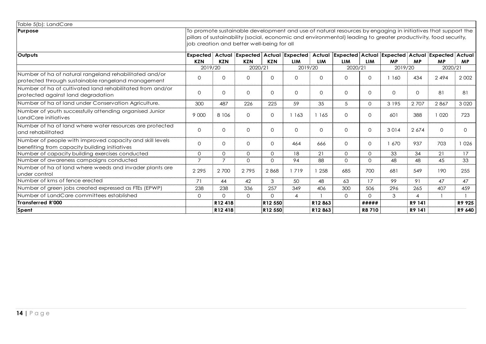| Table 5(b): LandCare                                                                                      |                 |                |                                            |                |              |            |              |              |                                                                                                                                                                                                                               |           |              |           |
|-----------------------------------------------------------------------------------------------------------|-----------------|----------------|--------------------------------------------|----------------|--------------|------------|--------------|--------------|-------------------------------------------------------------------------------------------------------------------------------------------------------------------------------------------------------------------------------|-----------|--------------|-----------|
| Purpose                                                                                                   |                 |                | job creation and better well-being for all |                |              |            |              |              | To promote sustainable development and use of natural resources by engaging in initiatives that support the<br>pillars of sustainability (social, economic and environmental) leading to greater productivity, food security, |           |              |           |
| Outputs                                                                                                   | <b>Expected</b> |                |                                            |                |              |            |              |              | Actual Expected Actual Expected Actual Expected Actual Expected Actual Expected Actual                                                                                                                                        |           |              |           |
|                                                                                                           | <b>KZN</b>      | <b>KZN</b>     | <b>KZN</b>                                 | <b>KZN</b>     | <b>LIM</b>   | <b>LIM</b> | <b>LIM</b>   | <b>LIM</b>   | <b>MP</b>                                                                                                                                                                                                                     | <b>MP</b> | <b>MP</b>    | <b>MP</b> |
|                                                                                                           | 2019/20         |                | 2020/21                                    |                | 2019/20      |            | 2020/21      |              | 2019/20                                                                                                                                                                                                                       |           | 2020/21      |           |
| Number of ha of natural rangeland rehabilitated and/or                                                    | $\Omega$        | $\Omega$       | $\Omega$                                   | $\Omega$       | $\Omega$     | $\Omega$   | $\Omega$     | $\Omega$     | 1 1 6 0                                                                                                                                                                                                                       | 434       | 2494         | 2 0 0 2   |
| protected through sustainable rangeland management                                                        |                 |                |                                            |                |              |            |              |              |                                                                                                                                                                                                                               |           |              |           |
| Number of ha of cultivated land rehabilitated from and/or                                                 |                 |                |                                            |                |              |            |              |              |                                                                                                                                                                                                                               |           |              |           |
| protected against land degradation                                                                        | $\Omega$        | $\Omega$       | $\Omega$                                   | $\Omega$       | $\Omega$     | $\Omega$   | $\Omega$     | $\Omega$     | $\Omega$                                                                                                                                                                                                                      | $\Omega$  | 81           | 81        |
| Number of ha of land under Conservation Agriculture.                                                      | 300             | 487            | 226                                        | 225            | 59           | 35         | 5            | $\Omega$     | 3 1 9 5                                                                                                                                                                                                                       | 2 7 0 7   | 2867         | 3 0 2 0   |
| Number of youth successfully attending organised Junior<br>LandCare initiatives                           | 9 000           | 8 1 0 6        | $\Omega$                                   | $\Omega$       | 1 1 6 3      | 1 1 6 5    | $\Omega$     | $\Omega$     | 601                                                                                                                                                                                                                           | 388       | 1 0 2 0      | 723       |
| Number of ha of land where water resources are protected<br>and rehabilitated                             | $\Omega$        | $\Omega$       | $\Omega$                                   | $\Omega$       | $\mathbf{O}$ | $\Omega$   | $\mathbf{0}$ | $\Omega$     | 3014                                                                                                                                                                                                                          | 2 6 7 4   | $\mathbf{0}$ | 0         |
| Number of people with improved capacity and skill levels<br>benefiting from capacity building initiatives | $\Omega$        | $\Omega$       | $\Omega$                                   | $\Omega$       | 464          | 666        | $\Omega$     | $\Omega$     | 1 670                                                                                                                                                                                                                         | 937       | 703          | 1026      |
| Number of capacity building exercises conducted                                                           | $\Omega$        | $\Omega$       | $\Omega$                                   | $\Omega$       | 18           | 21         | $\Omega$     | $\Omega$     | 33                                                                                                                                                                                                                            | 34        | 21           | 17        |
| Number of awareness campaigns conducted                                                                   | $\overline{7}$  | $\overline{7}$ | $\Omega$                                   | $\Omega$       | 94           | 88         | $\Omega$     | $\Omega$     | 48                                                                                                                                                                                                                            | 48        | 45           | 33        |
| Number of ha of land where weeds and invader plants are                                                   |                 |                |                                            |                |              |            |              |              |                                                                                                                                                                                                                               |           |              |           |
| under control                                                                                             | 2 2 9 5         | 2 700          | 2795                                       | 2868           | 1719         | 1 258      | 685          | 700          | 681                                                                                                                                                                                                                           | 549       | 190          | 255       |
| Number of kms of fence erected                                                                            | 71              | 44             | 42                                         | 3              | 50           | 48         | 63           | 17           | 99                                                                                                                                                                                                                            | 91        | 47           | 47        |
| Number of green jobs created expressed as FTEs (EPWP)                                                     | 238             | 238            | 336                                        | 257            | 349          | 406        | 300          | 506          | 296                                                                                                                                                                                                                           | 265       | 407          | 459       |
| Number of LandCare committees established                                                                 | $\Omega$        | $\Omega$       | $\Omega$                                   | $\Omega$       | 4            |            | $\Omega$     | $\Omega$     | 3                                                                                                                                                                                                                             | 4         |              |           |
| Transferred R'000                                                                                         |                 | R12418         |                                            | R12 550        |              | R12863     |              | #####        |                                                                                                                                                                                                                               | R9 141    |              | R9 925    |
| <b>Spent</b>                                                                                              |                 | R12418         |                                            | <b>R12 550</b> |              | R12863     |              | <b>R8710</b> |                                                                                                                                                                                                                               | R9 141    |              | R9 640    |